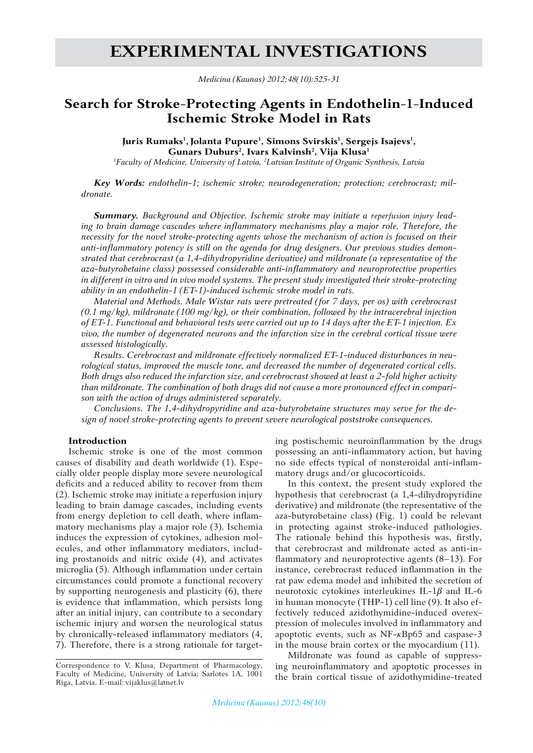# **EXPERIMENTal Investigations**

*Medicina (Kaunas) 2012;48(10):525-31*

# **Search for Stroke-Protecting Agents in Endothelin-1-Induced Ischemic Stroke Model in Rats**

Juris Rumaks<sup>1</sup>, Jolanta Pupure<sup>1</sup>, Simons Svirskis<sup>1</sup>, Sergejs Isajevs<sup>1</sup>, **Gunars Duburs2 , Ivars Kalvinsh<sup>2</sup> , Vija Klusa<sup>1</sup>** *1 Faculty of Medicine, University of Latvia, 2 Latvian Institute of Organic Synthesis, Latvia*

*Key Words: endothelin-1; ischemic stroke; neurodegeneration; protection; cerebrocrast; mildronate.*

*Summary. Background and Objective. Ischemic stroke may initiate a reperfusion injury leading to brain damage cascades where inflammatory mechanisms play a major role. Therefore, the necessity for the novel stroke-protecting agents whose the mechanism of action is focused on their anti-inflammatory potency is still on the agenda for drug designers. Our previous studies demonstrated that cerebrocrast (a 1,4-dihydropyridine derivative) and mildronate (a representative of the aza-butyrobetaine class) possessed considerable anti-inflammatory and neuroprotective properties in different in vitro and in vivo model systems. The present study investigated their stroke-protecting ability in an endothelin-1 (ET-1)-induced ischemic stroke model in rats.*

*Material and Methods. Male Wistar rats were pretreated (for 7 days, per os) with cerebrocrast (0.1 mg/kg), mildronate (100 mg/kg), or their combination, followed by the intracerebral injection of ET-1. Functional and behavioral tests were carried out up to 14 days after the ET-1 injection. Ex vivo, the number of degenerated neurons and the infarction size in the cerebral cortical tissue were assessed histologically.* 

*Results. Cerebrocrast and mildronate effectively normalized ET-1-induced disturbances in neurological status, improved the muscle tone, and decreased the number of degenerated cortical cells. Both drugs also reduced the infarction size, and cerebrocrast showed at least a 2-fold higher activity than mildronate. The combination of both drugs did not cause a more pronounced effect in comparison with the action of drugs administered separately.* 

*Conclusions. The 1,4-dihydropyridine and aza-butyrobetaine structures may serve for the design of novel stroke-protecting agents to prevent severe neurological poststroke consequences.* 

#### **Introduction**

Ischemic stroke is one of the most common causes of disability and death worldwide (1). Especially older people display more severe neurological deficits and a reduced ability to recover from them (2). Ischemic stroke may initiate a reperfusion injury leading to brain damage cascades, including events from energy depletion to cell death, where inflammatory mechanisms play a major role (3). Ischemia induces the expression of cytokines, adhesion molecules, and other inflammatory mediators, including prostanoids and nitric oxide (4), and activates microglia (5). Although inflammation under certain circumstances could promote a functional recovery by supporting neurogenesis and plasticity (6), there is evidence that inflammation, which persists long after an initial injury, can contribute to a secondary ischemic injury and worsen the neurological status by chronically-released inflammatory mediators (4, 7). Therefore, there is a strong rationale for targeting postischemic neuroinflammation by the drugs possessing an anti-inflammatory action, but having no side effects typical of nonsteroidal anti-inflammatory drugs and/or glucocorticoids.

In this context, the present study explored the hypothesis that cerebrocrast (a 1,4-dihydropyridine derivative) and mildronate (the representative of the aza-butyrobetaine class) (Fig. 1) could be relevant in protecting against stroke-induced pathologies. The rationale behind this hypothesis was, firstly, that cerebrocrast and mildronate acted as anti-inflammatory and neuroprotective agents (8–13). For instance, cerebrocrast reduced inflammation in the rat paw edema model and inhibited the secretion of neurotoxic cytokines interleukines IL-1*β* and IL-6 in human monocyte (THP-1) cell line (9). It also effectively reduced azidothymidine-induced overexpression of molecules involved in inflammatory and apoptotic events, such as NF-*к*Bp65 and caspase-3 in the mouse brain cortex or the myocardium (11).

Mildronate was found as capable of suppressing neuroinflammatory and apoptotic processes in the brain cortical tissue of azidothymidine-treated

Correspondence to V. Klusa, Department of Pharmacology, Faculty of Medicine, University of Latvia; Sarlotes 1A, 1001 Riga, Latvia. E-mail: vijaklus@latnet.lv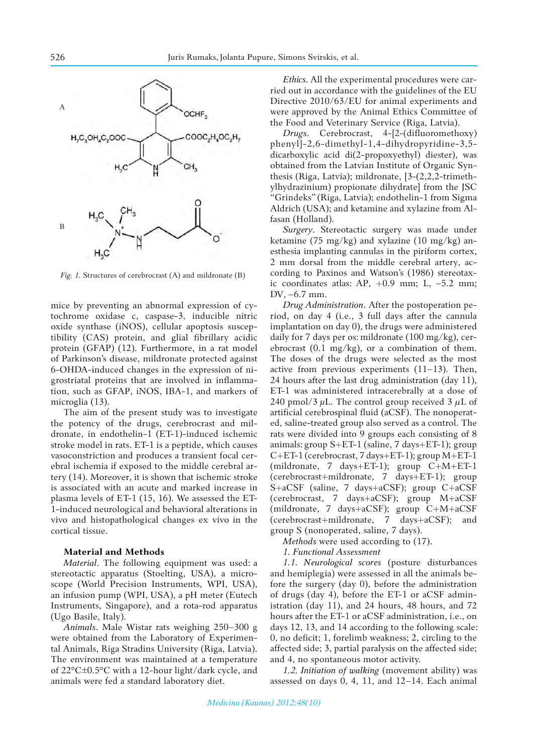

*Fig. 1.* Structures of cerebrocrast (A) and mildronate (B)

mice by preventing an abnormal expression of cytochrome oxidase c, caspase-3, inducible nitric oxide synthase (iNOS), cellular apoptosis susceptibility (CAS) protein, and glial fibrillary acidic protein (GFAP) (12). Furthermore, in a rat model of Parkinson's disease, mildronate protected against 6-OHDA-induced changes in the expression of nigrostriatal proteins that are involved in inflammation, such as GFAP, iNOS, IBA-1, and markers of microglia (13).

The aim of the present study was to investigate the potency of the drugs, cerebrocrast and mildronate, in endothelin-1 (ET-1)-induced ischemic stroke model in rats. ET-1 is a peptide, which causes vasoconstriction and produces a transient focal cerebral ischemia if exposed to the middle cerebral artery (14). Moreover, it is shown that ischemic stroke is associated with an acute and marked increase in plasma levels of ET-1 (15, 16). We assessed the ET-1-induced neurological and behavioral alterations in vivo and histopathological changes ex vivo in the cortical tissue.

## **Material and Methods**

*Material*. The following equipment was used: a stereotactic apparatus (Stoelting, USA), a microscope (World Precision Instruments, WPI, USA), an infusion pump (WPI, USA), a pH meter (Eutech Instruments, Singapore), and a rota-rod apparatus (Ugo Basile, Italy).

*Animals*. Male Wistar rats weighing 250–300 g were obtained from the Laboratory of Experimental Animals, Riga Stradins University (Riga, Latvia). The environment was maintained at a temperature of 22°C±0.5°C with a 12-hour light/dark cycle, and animals were fed a standard laboratory diet.

*Ethics*. All the experimental procedures were carried out in accordance with the guidelines of the EU Directive 2010/63/EU for animal experiments and were approved by the Animal Ethics Committee of the Food and Veterinary Service (Riga, Latvia).

*Drugs*. Cerebrocrast, 4-[2-(difluoromethoxy) phenyl]-2,6-dimethyl-1,4-dihydropyridine-3,5 dicarboxylic acid di(2-propoxyethyl) diester), was obtained from the Latvian Institute of Organic Synthesis (Riga, Latvia); mildronate, [3-(2,2,2-trimethylhydrazinium) propionate dihydrate] from the JSC "Grindeks" (Riga, Latvia); endothelin-1 from Sigma Aldrich (USA); and ketamine and xylazine from Alfasan (Holland).

*Surgery*. Stereotactic surgery was made under ketamine (75 mg/kg) and xylazine (10 mg/kg) anesthesia implanting cannulas in the piriform cortex, 2 mm dorsal from the middle cerebral artery, according to Paxinos and Watson's (1986) stereotaxic coordinates atlas: AP,  $+0.9$  mm; L,  $-5.2$  mm; DV, –6.7 mm.

*Drug Administration*. After the postoperation period, on day 4 (i.e., 3 full days after the cannula implantation on day 0), the drugs were administered daily for 7 days per os: mildronate (100 mg/kg), cerebrocrast  $(0.1 \text{ mg/kg})$ , or a combination of them. The doses of the drugs were selected as the most active from previous experiments (11–13). Then, 24 hours after the last drug administration (day 11), ET-1 was administered intracerebrally at a dose of 240 pmol/3 *µ*L. The control group received 3 *μ*L of artificial cerebrospinal fluid (aCSF). The nonoperated, saline-treated group also served as a control. The rats were divided into 9 groups each consisting of 8 animals: group S+ET-1 (saline, 7 days+ET-1); group C+ET-1 (cerebrocrast, 7 days+ET-1); group M+ET-1 (mildronate, 7 days+ET-1); group C+M+ET-1 (cerebrocrast+mildronate, 7 days+ET-1); group S+aCSF (saline, 7 days+aCSF); group C+aCSF (cerebrocrast, 7 days+aCSF); group M+aCSF (mildronate, 7 days+aCSF); group C+M+aCSF (cerebrocrast+mildronate, 7 days+aCSF); and group S (nonoperated, saline, 7 days).

*Methods* were used according to (17).

*1. Functional Assessment* 

*1.1. Neurological scores* (posture disturbances and hemiplegia) were assessed in all the animals before the surgery (day 0), before the administration of drugs (day 4), before the ET-1 or aCSF administration (day 11), and 24 hours, 48 hours, and 72 hours after the ET-1 or aCSF administration, i.e., on days 12, 13, and 14 according to the following scale: 0, no deficit; 1, forelimb weakness; 2, circling to the affected side; 3, partial paralysis on the affected side; and 4, no spontaneous motor activity.

*1.2. Initiation of walking* (movement ability) was assessed on days 0, 4, 11, and 12–14. Each animal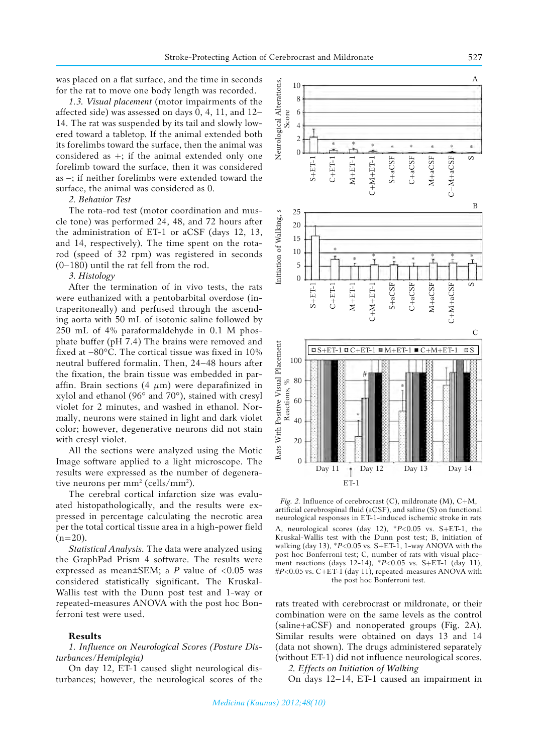was placed on a flat surface, and the time in seconds for the rat to move one body length was recorded.

*1.3. Visual placement* (motor impairments of the affected side) was assessed on days 0, 4, 11, and 12– 14. The rat was suspended by its tail and slowly lowered toward a tabletop. If the animal extended both its forelimbs toward the surface, then the animal was considered as  $+$ ; if the animal extended only one forelimb toward the surface, then it was considered as –; if neither forelimbs were extended toward the surface, the animal was considered as 0.

## *2. Behavior Test*

The rota-rod test (motor coordination and muscle tone) was performed 24, 48, and 72 hours after the administration of ET-1 or aCSF (days 12, 13, and 14, respectively). The time spent on the rotarod (speed of 32 rpm) was registered in seconds (0–180) until the rat fell from the rod.

#### *3. Histology*

After the termination of in vivo tests, the rats were euthanized with a pentobarbital overdose (intraperitoneally) and perfused through the ascending aorta with 50 mL of isotonic saline followed by 250 mL of 4% paraformaldehyde in 0.1 M phosphate buffer (pH 7.4) The brains were removed and fixed at −80°C. The cortical tissue was fixed in 10% neutral buffered formalin. Then, 24–48 hours after the fixation, the brain tissue was embedded in paraffin. Brain sections (4 *μ*m) were deparafinized in xylol and ethanol (96° and 70°), stained with cresyl violet for 2 minutes, and washed in ethanol. Normally, neurons were stained in light and dark violet color; however, degenerative neurons did not stain with cresyl violet.

All the sections were analyzed using the Motic Image software applied to a light microscope. The results were expressed as the number of degenerative neurons per  $mm^2$  (cells/mm<sup>2</sup>).

The cerebral cortical infarction size was evaluated histopathologically, and the results were expressed in percentage calculating the necrotic area per the total cortical tissue area in a high-power field  $(n=20)$ .

*Statistical Analysis.* The data were analyzed using the GraphPad Prism 4 software. The results were expressed as mean $\pm$ SEM; a *P* value of <0.05 was considered statistically significant**.** The Kruskal-Wallis test with the Dunn post test and 1-way or repeated-measures ANOVA with the post hoc Bonferroni test were used.

#### **Results**

*1. Influence on Neurological Scores (Posture Disturbances/Hemiplegia)*

On day 12, ET-1 caused slight neurological disturbances; however, the neurological scores of the



*Fig. 2.* Influence of cerebrocrast (C), mildronate (M), C+M, artificial cerebrospinal fluid (aCSF), and saline (S) on functional neurological responses in ET-1-induced ischemic stroke in rats A, neurological scores (day 12), \**P*<0.05 vs. S+ET-1, the Kruskal-Wallis test with the Dunn post test; B, initiation of walking (day 13),  $*P<0.05$  vs.  $S + ET-1$ , 1-way ANOVA with the post hoc Bonferroni test; C, number of rats with visual placement reactions (days 12-14), \**P*<0.05 vs. S+ET-1 (day 11), #*P*<0.05 vs. C+ET-1 (day 11), repeated-measures ANOVA with the post hoc Bonferroni test.

rats treated with cerebrocrast or mildronate, or their combination were on the same levels as the control (saline+aCSF) and nonoperated groups (Fig. 2A). Similar results were obtained on days 13 and 14 (data not shown). The drugs administered separately (without ET-1) did not influence neurological scores.

*2. Effects on Initiation of Walking* 

On days 12–14, ET-1 caused an impairment in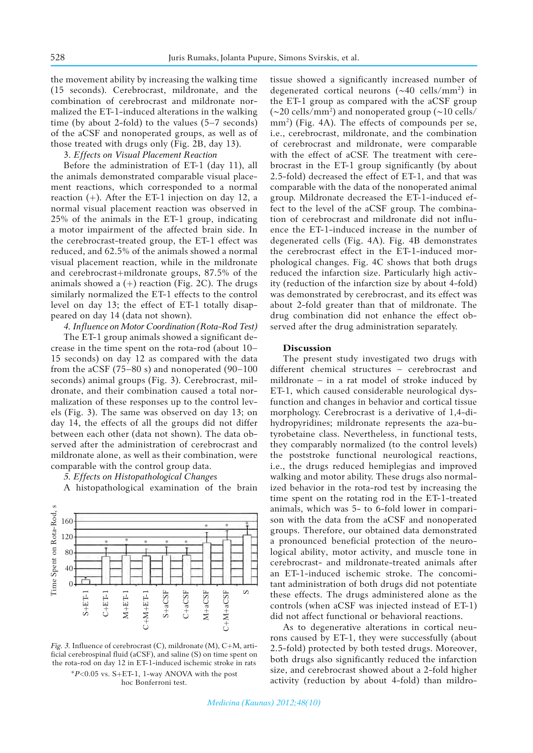the movement ability by increasing the walking time (15 seconds). Cerebrocrast, mildronate, and the combination of cerebrocrast and mildronate normalized the ET-1-induced alterations in the walking time (by about 2-fold) to the values (5–7 seconds) of the aCSF and nonoperated groups, as well as of those treated with drugs only (Fig. 2B, day 13).

3. *Effects on Visual Placement Reaction*

Before the administration of ET-1 (day 11), all the animals demonstrated comparable visual placement reactions, which corresponded to a normal reaction  $(+)$ . After the ET-1 injection on day 12, a normal visual placement reaction was observed in 25% of the animals in the ET-1 group, indicating a motor impairment of the affected brain side. In the cerebrocrast-treated group, the ET-1 effect was reduced, and 62.5% of the animals showed a normal visual placement reaction, while in the mildronate and cerebrocrast+mildronate groups, 87.5% of the animals showed a  $(+)$  reaction (Fig. 2C). The drugs similarly normalized the ET-1 effects to the control level on day 13; the effect of ET-1 totally disappeared on day 14 (data not shown).

*4. Influence on Motor Coordination (Rota-Rod Test)*

The ET-1 group animals showed a significant decrease in the time spent on the rota-rod (about 10– 15 seconds) on day 12 as compared with the data from the aCSF (75–80 s) and nonoperated (90–100 seconds) animal groups (Fig. 3). Cerebrocrast, mildronate, and their combination caused a total normalization of these responses up to the control levels (Fig. 3). The same was observed on day 13; on day 14, the effects of all the groups did not differ between each other (data not shown). The data observed after the administration of cerebrocrast and mildronate alone, as well as their combination, were comparable with the control group data.

*5. Effects on Histopathological Changes*

A histopathological examination of the brain



*Fig. 3.* Influence of cerebrocrast (C), mildronate (M), C+M, artificial cerebrospinal fluid (aCSF), and saline (S) on time spent on the rota-rod on day 12 in ET-1-induced ischemic stroke in rats \**P*<0.05 vs. S+ET-1, 1-way ANOVA with the post hoc Bonferroni test.

tissue showed a significantly increased number of degenerated cortical neurons  $(\sim40 \text{ cells/mm}^2)$  in the ET-1 group as compared with the aCSF group (~20 cells/mm2 ) and nonoperated group (~10 cells/ mm2 ) (Fig. 4A). The effects of compounds per se, i.e., cerebrocrast, mildronate, and the combination of cerebrocrast and mildronate, were comparable with the effect of aCSF. The treatment with cerebrocrast in the ET-1 group significantly (by about 2.5-fold) decreased the effect of ET-1, and that was comparable with the data of the nonoperated animal group. Mildronate decreased the ET-1-induced effect to the level of the aCSF group. The combination of cerebrocrast and mildronate did not influence the ET-1-induced increase in the number of degenerated cells (Fig. 4A). Fig. 4B demonstrates the cerebrocrast effect in the ET-1-induced morphological changes. Fig. 4C shows that both drugs reduced the infarction size. Particularly high activity (reduction of the infarction size by about 4-fold) was demonstrated by cerebrocrast, and its effect was about 2-fold greater than that of mildronate. The drug combination did not enhance the effect observed after the drug administration separately.

#### **Discussion**

The present study investigated two drugs with different chemical structures – cerebrocrast and mildronate – in a rat model of stroke induced by ET-1, which caused considerable neurological dysfunction and changes in behavior and cortical tissue morphology. Cerebrocrast is a derivative of 1,4-dihydropyridines; mildronate represents the aza-butyrobetaine class. Nevertheless, in functional tests, they comparably normalized (to the control levels) the poststroke functional neurological reactions, i.e., the drugs reduced hemiplegias and improved walking and motor ability. These drugs also normalized behavior in the rota-rod test by increasing the time spent on the rotating rod in the ET-1-treated animals, which was 5- to 6-fold lower in comparison with the data from the aCSF and nonoperated groups. Therefore, our obtained data demonstrated a pronounced beneficial protection of the neurological ability, motor activity, and muscle tone in cerebrocrast- and mildronate-treated animals after an ET-1-induced ischemic stroke. The concomitant administration of both drugs did not potentiate these effects. The drugs administered alone as the controls (when aCSF was injected instead of ET-1) did not affect functional or behavioral reactions.

As to degenerative alterations in cortical neurons caused by ET-1, they were successfully (about 2.5-fold) protected by both tested drugs. Moreover, both drugs also significantly reduced the infarction size, and cerebrocrast showed about a 2-fold higher activity (reduction by about 4-fold) than mildro-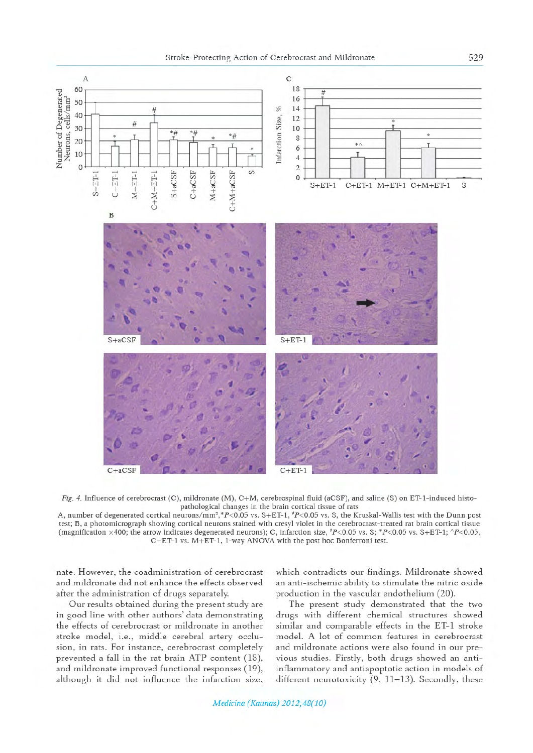



Fig. 4. Influence of cerebrocrast (C), mildronate (M), C+M, cerebrospinal fluid (aCSF), and saline (S) on ET-1-induced histopathological changes in the brain cortical tissue of rats

A, number of degenerated cortical neurons/mm<sup>2</sup>,\*P<0.05 vs. S+ET-1, \*P<0.05 vs. S, the Kruskal-Wallis test with the Dunn post test; B, a photomicrograph showing cortical neurons stained with cresyl violet in the cerebrocrast-treated rat brain cortical tissue (magnification ×400; the arrow indicates degenerated neurons); C, infarction size,  $P<0.05$  vs. S; \*P<0.05 vs. S+ET-1; ^P<0.05, C+ET-1 vs. M+ET-1, 1-way ANOVA with the post hoc Bonferroni test.

nate. However, the coadministration of cerebrocrast and mildronate did not enhance the effects observed after the administration of drugs separately.

Our results obtained during the present study are in good line with other authors' data demonstrating the effects of cerebrocrast or mildronate in another stroke model, i.e., middle cerebral artery occlusion, in rats. For instance, cerebrocrast completely prevented a fall in the rat brain ATP content (18), and mildronate improved functional responses (19), although it did not influence the infarction size, which contradicts our findings. Mildronate showed an anti-ischemic ability to stimulate the nitric oxide production in the vascular endothelium (20).

The present study demonstrated that the two drugs with different chemical structures showed similar and comparable effects in the ET-1 stroke model. A lot of common features in cerebrocrast and mildronate actions were also found in our previous studies. Firstly, both drugs showed an antiinflammatory and antiapoptotic action in models of different neurotoxicity (9, 11-13). Secondly, these

529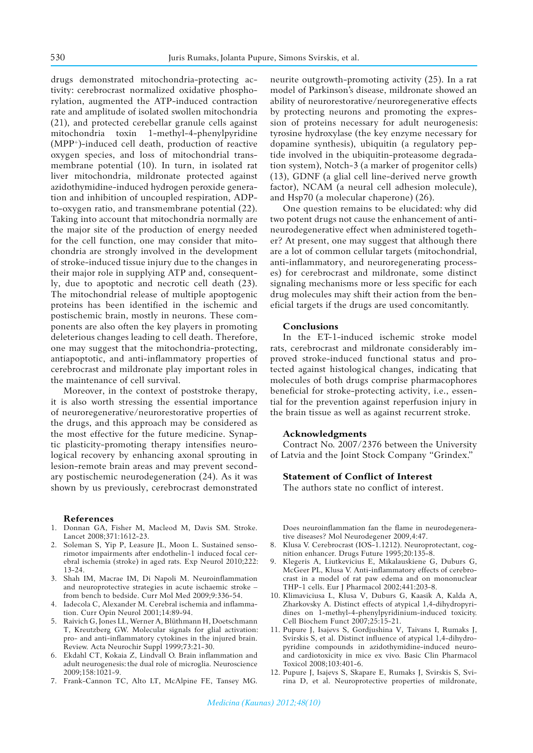drugs demonstrated mitochondria-protecting activity: cerebrocrast normalized oxidative phosphorylation, augmented the ATP-induced contraction rate and amplitude of isolated swollen mitochondria (21), and protected cerebellar granule cells against mitochondria toxin 1-methyl-4-phenylpyridine (MPP+)-induced cell death, production of reactive oxygen species, and loss of mitochondrial transmembrane potential (10). In turn, in isolated rat liver mitochondria, mildronate protected against azidothymidine-induced hydrogen peroxide generation and inhibition of uncoupled respiration, ADPto-oxygen ratio, and transmembrane potential (22). Taking into account that mitochondria normally are the major site of the production of energy needed for the cell function, one may consider that mitochondria are strongly involved in the development of stroke-induced tissue injury due to the changes in their major role in supplying ATP and, consequently, due to apoptotic and necrotic cell death (23). The mitochondrial release of multiple apoptogenic proteins has been identified in the ischemic and postischemic brain, mostly in neurons. These components are also often the key players in promoting deleterious changes leading to cell death. Therefore, one may suggest that the mitochondria-protecting, antiapoptotic, and anti-inflammatory properties of cerebrocrast and mildronate play important roles in the maintenance of cell survival.

Moreover, in the context of poststroke therapy, it is also worth stressing the essential importance of neuroregenerative/neurorestorative properties of the drugs, and this approach may be considered as the most effective for the future medicine. Synaptic plasticity-promoting therapy intensifies neurological recovery by enhancing axonal sprouting in lesion-remote brain areas and may prevent secondary postischemic neurodegeneration (24). As it was shown by us previously, cerebrocrast demonstrated

#### **References**

- 1. Donnan GA, Fisher M, Macleod M, Davis SM. Stroke. Lancet 2008;371:1612-23.
- 2. Soleman S, Yip P, Leasure JL, Moon L. Sustained sensorimotor impairments after endothelin-1 induced focal cerebral ischemia (stroke) in aged rats. Exp Neurol 2010;222: 13-24.
- 3. Shah IM, Macrae IM, Di Napoli M. Neuroinflammation and neuroprotective strategies in acute ischaemic stroke – from bench to bedside. Curr Mol Med 2009;9:336-54.
- 4. Iadecola C, Alexander M. Cerebral ischemia and inflammation. Curr Opin Neurol 2001;14:89-94.
- 5. Raivich G, Jones LL, Werner A, Blüthmann H, Doetschmann T, Kreutzberg GW. Molecular signals for glial activation: pro- and anti-inflammatory cytokines in the injured brain. Review. Acta Neurochir Suppl 1999;73:21-30.
- 6. Ekdahl CT, Kokaia Z, Lindvall O. Brain inflammation and adult neurogenesis: the dual role of microglia. Neuroscience 2009;158:1021-9.
- 7. Frank-Cannon TC, Alto LT, McAlpine FE, Tansey MG.

neurite outgrowth-promoting activity (25). In a rat model of Parkinson's disease, mildronate showed an ability of neurorestorative/neuroregenerative effects by protecting neurons and promoting the expression of proteins necessary for adult neurogenesis: tyrosine hydroxylase (the key enzyme necessary for dopamine synthesis), ubiquitin (a regulatory peptide involved in the ubiquitin-proteasome degradation system), Notch-3 (a marker of progenitor cells) (13), GDNF (a glial cell line-derived nerve growth factor), NCAM (a neural cell adhesion molecule), and Hsp70 (a molecular chaperone) (26).

One question remains to be elucidated: why did two potent drugs not cause the enhancement of antineurodegenerative effect when administered together? At present, one may suggest that although there are a lot of common cellular targets (mitochondrial, anti-inflammatory, and neuroregenerating processes) for cerebrocrast and mildronate, some distinct signaling mechanisms more or less specific for each drug molecules may shift their action from the beneficial targets if the drugs are used concomitantly.

#### **Conclusions**

In the ET-1-induced ischemic stroke model rats, cerebrocrast and mildronate considerably improved stroke-induced functional status and protected against histological changes, indicating that molecules of both drugs comprise pharmacophores beneficial for stroke-protecting activity, i.e., essential for the prevention against reperfusion injury in the brain tissue as well as against recurrent stroke.

#### **Acknowledgments**

Contract No. 2007/2376 between the University of Latvia and the Joint Stock Company "Grindex."

# **Statement of Conflict of Interest**

The authors state no conflict of interest.

Does neuroinflammation fan the flame in neurodegenerative diseases? Mol Neurodegener 2009,4:47.

- Klusa V. Cerebrocrast (IOS-1.1212). Neuroprotectant, cognition enhancer. Drugs Future 1995;20:135-8.
- 9. Klegeris A, Liutkevicius E, Mikalauskiene G, Duburs G, McGeer PL, Klusa V. Anti-inflammatory effects of cerebrocrast in a model of rat paw edema and on mononuclear THP-1 cells. Eur J Pharmacol 2002;441:203-8.
- 10. Klimaviciusa L, Klusa V, Duburs G, Kaasik A, Kalda A, Zharkovsky A. Distinct effects of atypical 1,4-dihydropyridines on 1-methyl-4-phenylpyridinium-induced toxicity. Cell Biochem Funct 2007;25:15-21.
- 11. Pupure J, Isajevs S, Gordjushina V, Taivans I, Rumaks J, Svirskis S, et al. Distinct influence of atypical 1,4-dihydropyridine compounds in azidothymidine-induced neuroand cardiotoxicity in mice ex vivo. Basic Clin Pharmacol Toxicol 2008;103:401-6.
- 12. Pupure J, Isajevs S, Skapare E, Rumaks J, Svirskis S, Svirina D, et al. Neuroprotective properties of mildronate,